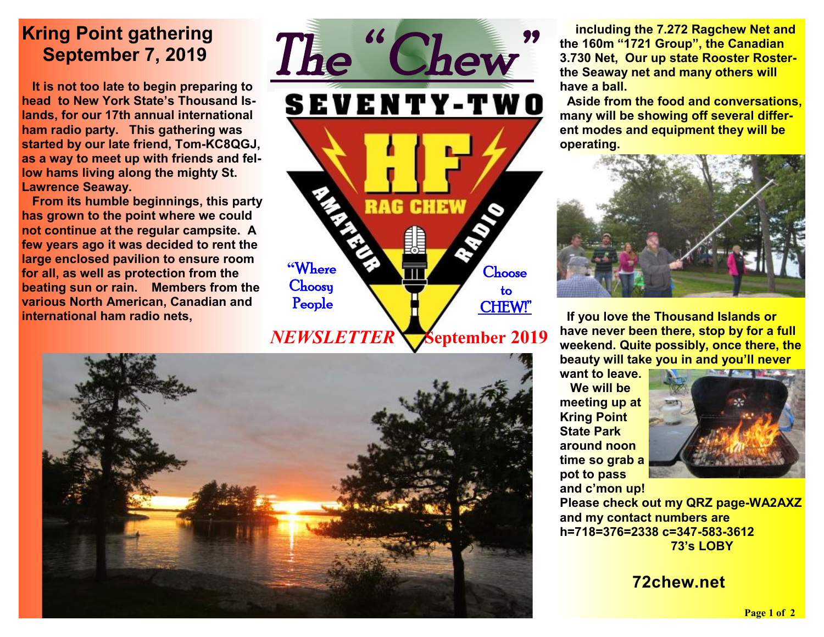## **Kring Point gathering September 7, 2019**

 **It is not too late to begin preparing to head to New York State's Thousand Islands, for our 17th annual international ham radio party. This gathering was started by our late friend, Tom-KC8QGJ, as a way to meet up with friends and fellow hams living along the mighty St. Lawrence Seaway.** 

 **From its humble beginnings, this party has grown to the point where we could not continue at the regular campsite. A few years ago it was decided to rent the large enclosed pavilion to ensure room for all, as well as protection from the beating sun or rain. Members from the various North American, Canadian and international ham radio nets,** 





 **including the 7.272 Ragchew Net and the 160m "1721 Group", the Canadian 3.730 Net, Our up state Rooster Rosterthe Seaway net and many others will have a ball.** 

**Aside from the food and conversations, many will be showing off several different modes and equipment they will be operating.** 



 **If you love the Thousand Islands or have never been there, stop by for a full weekend. Quite possibly, once there, the beauty will take you in and you'll never** 

**want to leave.** 

 **We will be meeting up at Kring Point State Park around noon time so grab a pot to pass and c'mon up!** 



**Please check out my QRZ page-WA2AXZ and my contact numbers are h=718=376=2338 c=347-583-3612 73's LOBY** 

### **72chew.net**